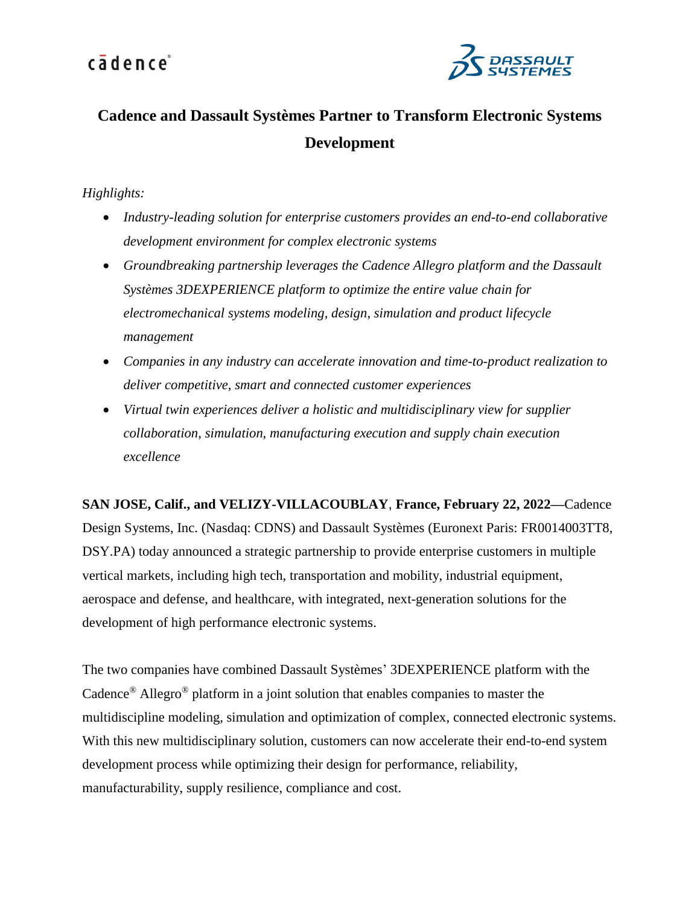

### **Cadence and Dassault Systèmes Partner to Transform Electronic Systems Development**

### *Highlights:*

- *Industry-leading solution for enterprise customers provides an end-to-end collaborative development environment for complex electronic systems*
- *Groundbreaking partnership leverages the Cadence Allegro platform and the Dassault Systèmes 3DEXPERIENCE platform to optimize the entire value chain for electromechanical systems modeling, design, simulation and product lifecycle management*
- *Companies in any industry can accelerate innovation and time-to-product realization to deliver competitive, smart and connected customer experiences*
- *Virtual twin experiences deliver a holistic and multidisciplinary view for supplier collaboration, simulation, manufacturing execution and supply chain execution excellence*

**SAN JOSE, Calif., and VELIZY-VILLACOUBLAY**, **France, February 22, 2022—**Cadence Design Systems, Inc. (Nasdaq: CDNS) and Dassault Systèmes (Euronext Paris: FR0014003TT8, DSY.PA) today announced a strategic partnership to provide enterprise customers in multiple vertical markets, including high tech, transportation and mobility, industrial equipment, aerospace and defense, and healthcare*,* with integrated, next-generation solutions for the development of high performance electronic systems.

The two companies have combined Dassault Systèmes' 3DEXPERIENCE platform with the Cadence® Allegro® platform in a joint solution that enables companies to master the multidiscipline modeling, simulation and optimization of complex, connected electronic systems. With this new multidisciplinary solution, customers can now accelerate their end-to-end system development process while optimizing their design for performance, reliability, manufacturability, supply resilience, compliance and cost.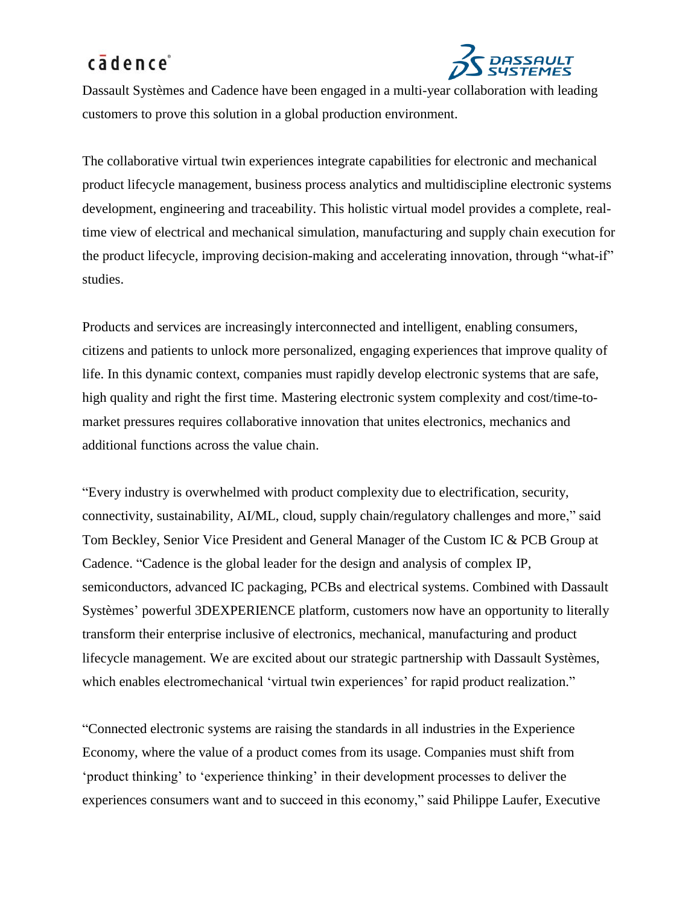

Dassault Systèmes and Cadence have been engaged in a multi-year collaboration with leading customers to prove this solution in a global production environment.

The collaborative virtual twin experiences integrate capabilities for electronic and mechanical product lifecycle management, business process analytics and multidiscipline electronic systems development, engineering and traceability. This holistic virtual model provides a complete, realtime view of electrical and mechanical simulation, manufacturing and supply chain execution for the product lifecycle, improving decision-making and accelerating innovation, through "what-if" studies.

Products and services are increasingly interconnected and intelligent, enabling consumers, citizens and patients to unlock more personalized, engaging experiences that improve quality of life. In this dynamic context, companies must rapidly develop electronic systems that are safe, high quality and right the first time. Mastering electronic system complexity and cost/time-tomarket pressures requires collaborative innovation that unites electronics, mechanics and additional functions across the value chain.

"Every industry is overwhelmed with product complexity due to electrification, security, connectivity, sustainability, AI/ML, cloud, supply chain/regulatory challenges and more," said Tom Beckley, Senior Vice President and General Manager of the Custom IC & PCB Group at Cadence. "Cadence is the global leader for the design and analysis of complex IP, semiconductors, advanced IC packaging, PCBs and electrical systems. Combined with Dassault Systèmes' powerful 3DEXPERIENCE platform, customers now have an opportunity to literally transform their enterprise inclusive of electronics, mechanical, manufacturing and product lifecycle management. We are excited about our strategic partnership with Dassault Systèmes, which enables electromechanical 'virtual twin experiences' for rapid product realization."

"Connected electronic systems are raising the standards in all industries in the Experience Economy, where the value of a product comes from its usage. Companies must shift from 'product thinking' to 'experience thinking' in their development processes to deliver the experiences consumers want and to succeed in this economy," said Philippe Laufer, Executive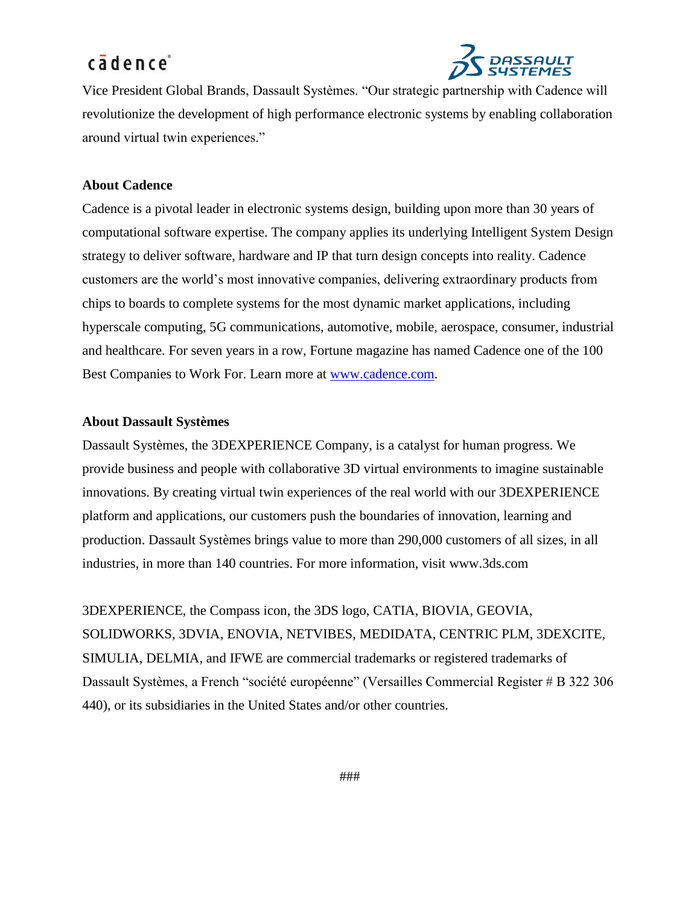

Vice President Global Brands, Dassault Systèmes. "Our strategic partnership with Cadence will revolutionize the development of high performance electronic systems by enabling collaboration around virtual twin experiences."

### **About Cadence**

Cadence is a pivotal leader in electronic systems design, building upon more than 30 years of computational software expertise. The company applies its underlying Intelligent System Design strategy to deliver software, hardware and IP that turn design concepts into reality. Cadence customers are the world's most innovative companies, delivering extraordinary products from chips to boards to complete systems for the most dynamic market applications, including hyperscale computing, 5G communications, automotive, mobile, aerospace, consumer, industrial and healthcare. For seven years in a row, Fortune magazine has named Cadence one of the 100 Best Companies to Work For. Learn more at [www.cadence.com.](http://www.cadence.com/)

#### **About Dassault Systèmes**

Dassault Systèmes, the 3DEXPERIENCE Company, is a catalyst for human progress. We provide business and people with collaborative 3D virtual environments to imagine sustainable innovations. By creating virtual twin experiences of the real world with our 3DEXPERIENCE platform and applications, our customers push the boundaries of innovation, learning and production. Dassault Systèmes brings value to more than 290,000 customers of all sizes, in all industries, in more than 140 countries. For more information, visit [www.3ds.com](http://www.3ds.com/)

3DEXPERIENCE, the Compass icon, the 3DS logo, CATIA, BIOVIA, GEOVIA, SOLIDWORKS, 3DVIA, ENOVIA, NETVIBES, MEDIDATA, CENTRIC PLM, 3DEXCITE, SIMULIA, DELMIA, and IFWE are commercial trademarks or registered trademarks of Dassault Systèmes, a French "société européenne" (Versailles Commercial Register # B 322 306 440), or its subsidiaries in the United States and/or other countries.